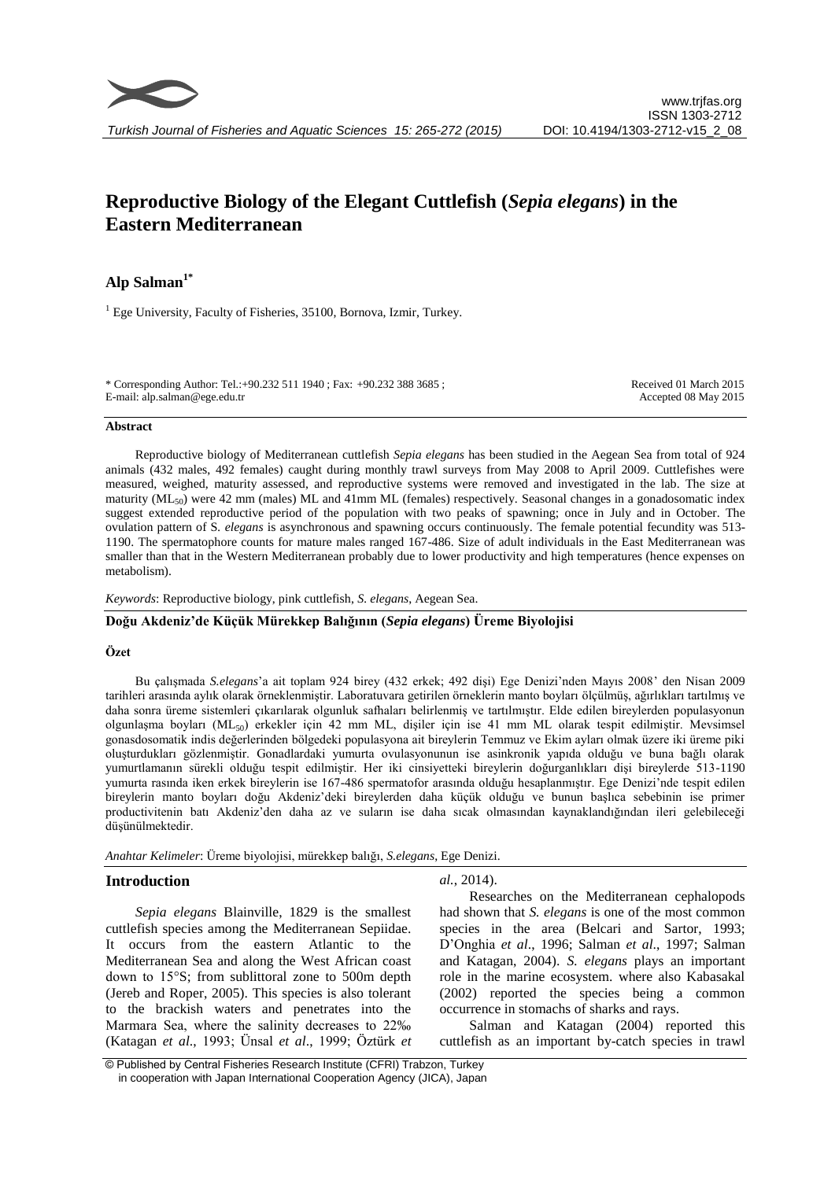# **Reproductive Biology of the Elegant Cuttlefish (***Sepia elegans***) in the Eastern Mediterranean**

# **Alp Salman1\***

 $<sup>1</sup>$  Ege University, Faculty of Fisheries, 35100, Bornova, Izmir, Turkey.</sup>

\* Corresponding Author: Tel.:+90.232 511 1940 ; Fax: +90.232 388 3685 ; E-mail: alp.salman@ege.edu.tr

Received 01 March 2015 Accepted 08 May 2015

#### **Abstract**

Reproductive biology of Mediterranean cuttlefish *Sepia elegans* has been studied in the Aegean Sea from total of 924 animals (432 males, 492 females) caught during monthly trawl surveys from May 2008 to April 2009. Cuttlefishes were measured, weighed, maturity assessed, and reproductive systems were removed and investigated in the lab. The size at maturity (ML<sub>50</sub>) were 42 mm (males) ML and 41mm ML (females) respectively. Seasonal changes in a gonadosomatic index suggest extended reproductive period of the population with two peaks of spawning; once in July and in October. The ovulation pattern of S*. elegans* is asynchronous and spawning occurs continuously. The female potential fecundity was 513- 1190. The spermatophore counts for mature males ranged 167-486. Size of adult individuals in the East Mediterranean was smaller than that in the Western Mediterranean probably due to lower productivity and high temperatures (hence expenses on metabolism).

## *Keywords*: Reproductive biology, pink cuttlefish, *S. elegans*, Aegean Sea.

# **Doğu Akdeniz'de Küçük Mürekkep Balığının (***Sepia elegans***) Üreme Biyolojisi**

## **Özet**

Bu çalışmada *S.elegans*'a ait toplam 924 birey (432 erkek; 492 dişi) Ege Denizi'nden Mayıs 2008' den Nisan 2009 tarihleri arasında aylık olarak örneklenmiştir. Laboratuvara getirilen örneklerin manto boyları ölçülmüş, ağırlıkları tartılmış ve daha sonra üreme sistemleri çıkarılarak olgunluk safhaları belirlenmiş ve tartılmıştır. Elde edilen bireylerden populasyonun olgunlaşma boyları (ML50) erkekler için 42 mm ML, dişiler için ise 41 mm ML olarak tespit edilmiştir. Mevsimsel gonasdosomatik indis değerlerinden bölgedeki populasyona ait bireylerin Temmuz ve Ekim ayları olmak üzere iki üreme piki oluşturdukları gözlenmiştir. Gonadlardaki yumurta ovulasyonunun ise asinkronik yapıda olduğu ve buna bağlı olarak yumurtlamanın sürekli olduğu tespit edilmiştir. Her iki cinsiyetteki bireylerin doğurganlıkları dişi bireylerde 513-1190 yumurta rasında iken erkek bireylerin ise 167-486 spermatofor arasında olduğu hesaplanmıştır. Ege Denizi'nde tespit edilen bireylerin manto boyları doğu Akdeniz'deki bireylerden daha küçük olduğu ve bunun başlıca sebebinin ise primer productivitenin batı Akdeniz'den daha az ve suların ise daha sıcak olmasından kaynaklandığından ileri gelebileceği düşünülmektedir.

*Anahtar Kelimeler*: Üreme biyolojisi, mürekkep balığı, *S.elegans*, Ege Denizi.

## **Introduction**

*Sepia elegans* Blainville, 1829 is the smallest cuttlefish species among the Mediterranean Sepiidae. It occurs from the eastern Atlantic to the Mediterranean Sea and along the West African coast down to 15°S; from sublittoral zone to 500m depth (Jereb and Roper, 2005). This species is also tolerant to the brackish waters and penetrates into the Marmara Sea, where the salinity decreases to 22‰ (Katagan *et al*., 1993; Ünsal *et al*., 1999; Öztürk *et*  *al.*, 2014).

Researches on the Mediterranean cephalopods had shown that *S. elegans* is one of the most common species in the area (Belcari and Sartor, 1993; D'Onghia *et al*., 1996; Salman *et al*., 1997; Salman and Katagan, 2004). *S. elegans* plays an important role in the marine ecosystem. where also Kabasakal (2002) reported the species being a common occurrence in stomachs of sharks and rays.

Salman and Katagan (2004) reported this cuttlefish as an important by-catch species in trawl

<sup>©</sup> Published by Central Fisheries Research Institute (CFRI) Trabzon, Turkey in cooperation with Japan International Cooperation Agency (JICA), Japan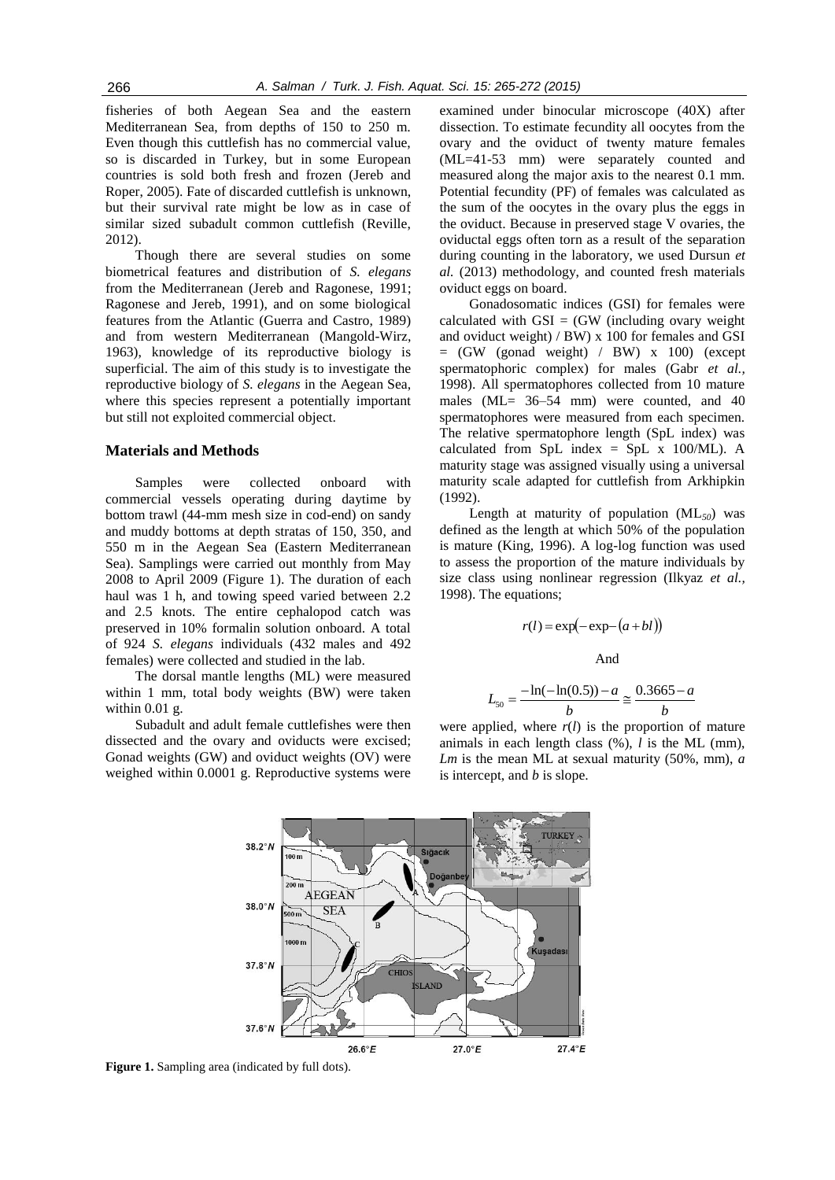fisheries of both Aegean Sea and the eastern Mediterranean Sea, from depths of 150 to 250 m. Even though this cuttlefish has no commercial value, so is discarded in Turkey, but in some European countries is sold both fresh and frozen (Jereb and Roper, 2005). Fate of discarded cuttlefish is unknown, but their survival rate might be low as in case of similar sized subadult common cuttlefish (Reville, 2012).

Though there are several studies on some biometrical features and distribution of *S. elegans*  from the Mediterranean (Jereb and Ragonese, 1991; Ragonese and Jereb, 1991), and on some biological features from the Atlantic (Guerra and Castro, 1989) and from western Mediterranean (Mangold-Wirz, 1963), knowledge of its reproductive biology is superficial. The aim of this study is to investigate the reproductive biology of *S. elegans* in the Aegean Sea, where this species represent a potentially important but still not exploited commercial object.

## **Materials and Methods**

Samples were collected onboard with commercial vessels operating during daytime by bottom trawl (44-mm mesh size in cod-end) on sandy and muddy bottoms at depth stratas of 150, 350, and 550 m in the Aegean Sea (Eastern Mediterranean Sea). Samplings were carried out monthly from May 2008 to April 2009 (Figure 1). The duration of each haul was 1 h, and towing speed varied between 2.2 and 2.5 knots. The entire cephalopod catch was preserved in 10% formalin solution onboard. A total of 924 *S. elegans* individuals (432 males and 492 females) were collected and studied in the lab.

The dorsal mantle lengths (ML) were measured within 1 mm, total body weights (BW) were taken within 0.01 g.

Subadult and adult female cuttlefishes were then dissected and the ovary and oviducts were excised; Gonad weights (GW) and oviduct weights (OV) were weighed within 0.0001 g. Reproductive systems were

examined under binocular microscope (40X) after dissection. To estimate fecundity all oocytes from the ovary and the oviduct of twenty mature females (ML=41-53 mm) were separately counted and measured along the major axis to the nearest 0.1 mm. Potential fecundity (PF) of females was calculated as the sum of the oocytes in the ovary plus the eggs in the oviduct. Because in preserved stage V ovaries, the oviductal eggs often torn as a result of the separation during counting in the laboratory, we used Dursun *et al.* (2013) methodology, and counted fresh materials oviduct eggs on board.

Gonadosomatic indices (GSI) for females were calculated with  $GSI = (GW)$  (including ovary weight and oviduct weight) / BW) x 100 for females and GSI  $=$  (GW (gonad weight) / BW) x 100) (except spermatophoric complex) for males (Gabr *et al.,* 1998). All spermatophores collected from 10 mature males (ML= 36–54 mm) were counted, and 40 spermatophores were measured from each specimen. The relative spermatophore length (SpL index) was calculated from SpL index = SpL  $x$  100/ML). A maturity stage was assigned visually using a universal maturity scale adapted for cuttlefish from Arkhipkin (1992).

Length at maturity of population (ML*50*) was defined as the length at which 50% of the population is mature (King, 1996). A log-log function was used to assess the proportion of the mature individuals by size class using nonlinear regression (Ilkyaz *et al.,* 1998). The equations;

$$
r(l) = \exp(-\exp-(a+bl))
$$

And

$$
L_{50} = \frac{-\ln(-\ln(0.5)) - a}{b} \approx \frac{0.3665 - a}{b}
$$

*b* were applied, where  $r(l)$  is the proportion of mature animals in each length class (%), *l* is the ML (mm), *Lm* is the mean ML at sexual maturity (50%, mm), *a*  is intercept, and *b* is slope.



**Figure 1.** Sampling area (indicated by full dots).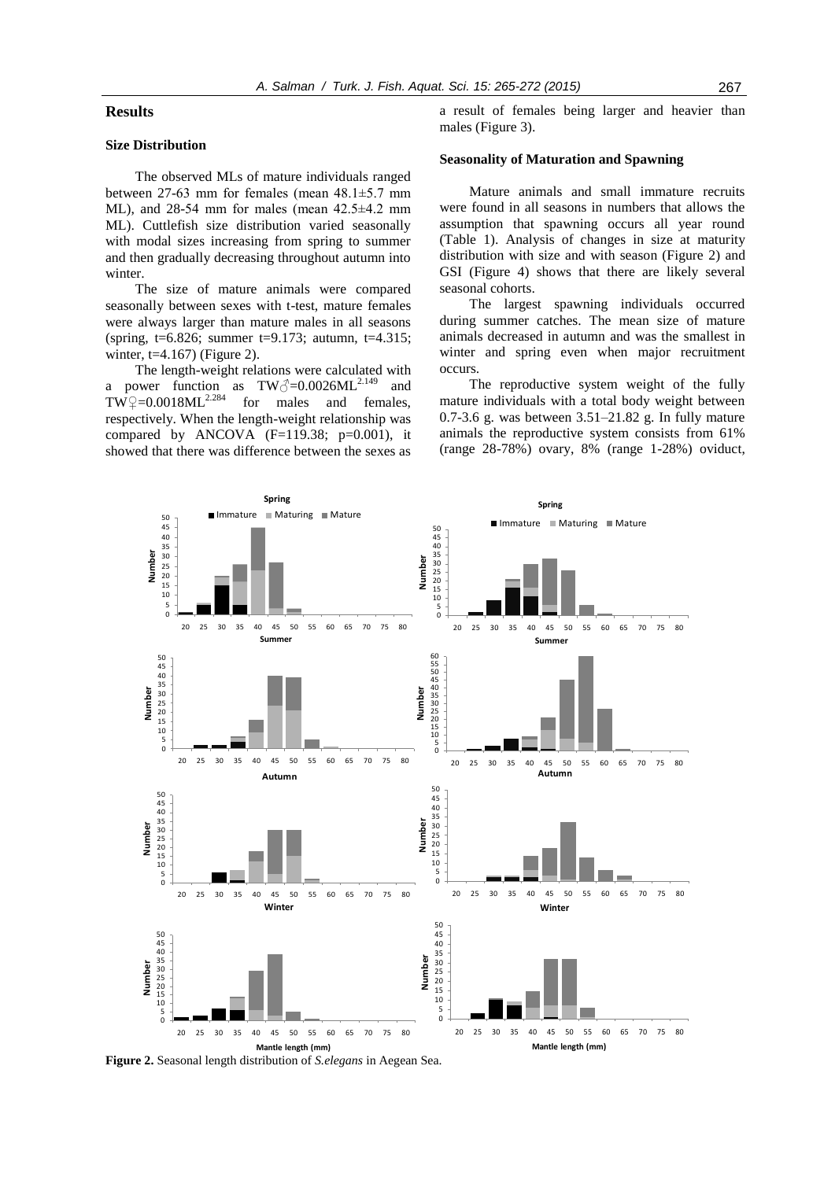# **Results**

# **Size Distribution**

50

The observed MLs of mature individuals ranged between 27-63 mm for females (mean  $48.1 \pm 5.7$  mm ML), and  $28-54$  mm for males (mean  $42.5\pm4.2$  mm ML). Cuttlefish size distribution varied seasonally with modal sizes increasing from spring to summer and then gradually decreasing throughout autumn into winter.

The size of mature animals were compared seasonally between sexes with t-test, mature females were always larger than mature males in all seasons (spring, t=6.826; summer t=9.173; autumn, t=4.315; winter,  $t=4.167$ ) (Figure 2).

The length-weight relations were calculated with a power function as  $TW\sqrt{2}=0.0026ML^{2.149}$  and  $TW^{\circ}\neq=0.0018ML^{2.284}$  for males and females, respectively. When the length-weight relationship was compared by ANCOVA  $(F=119.38; p=0.001)$ , it showed that there was difference between the sexes as

> **Spring** ■ Immature Maturing Mature

a result of females being larger and heavier than males (Figure 3).

# **Seasonality of Maturation and Spawning**

Mature animals and small immature recruits were found in all seasons in numbers that allows the assumption that spawning occurs all year round (Table 1). Analysis of changes in size at maturity distribution with size and with season (Figure 2) and GSI (Figure 4) shows that there are likely several seasonal cohorts.

The largest spawning individuals occurred during summer catches. The mean size of mature animals decreased in autumn and was the smallest in winter and spring even when major recruitment occurs.

The reproductive system weight of the fully mature individuals with a total body weight between 0.7-3.6 g. was between 3.51–21.82 g. In fully mature animals the reproductive system consists from 61% (range 28-78%) ovary, 8% (range 1-28%) oviduct,

> **Spring**  $\blacksquare$  Immature  $\blacksquare$  Maturing  $\blacksquare$  Mature

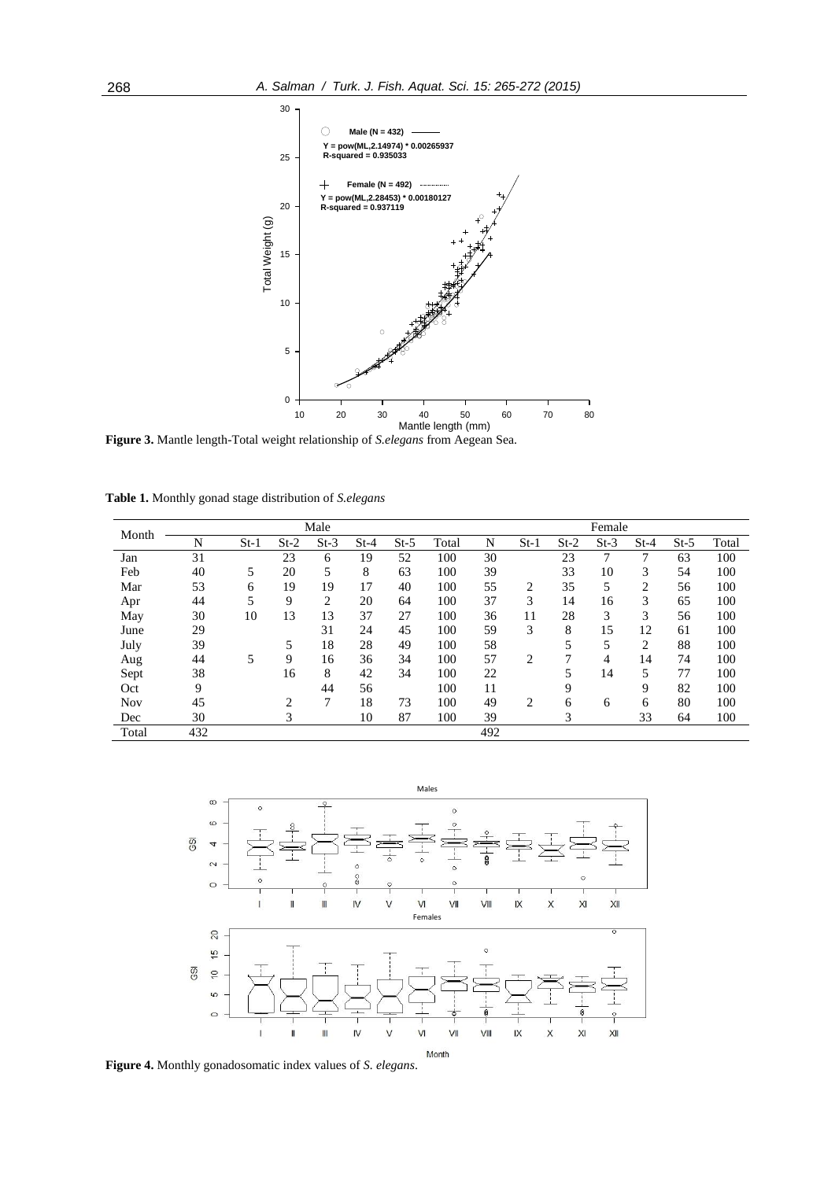

**Figure 3.** Mantle length-Total weight relationship of *S.elegans* from Aegean Sea.

|  | Table 1. Monthly gonad stage distribution of S.elegans |
|--|--------------------------------------------------------|
|--|--------------------------------------------------------|

| Month      | Male |        |        |                |        |        |       |     | Female |        |        |                |        |       |  |  |
|------------|------|--------|--------|----------------|--------|--------|-------|-----|--------|--------|--------|----------------|--------|-------|--|--|
|            | N    | $St-1$ | $St-2$ | $St-3$         | $St-4$ | $St-5$ | Total | N   | $St-1$ | $St-2$ | $St-3$ | $St-4$         | $St-5$ | Total |  |  |
| Jan        | 31   |        | 23     | 6              | 19     | 52     | 100   | 30  |        | 23     | 7      | 7              | 63     | 100   |  |  |
| Feb        | 40   | 5      | 20     | 5              | 8      | 63     | 100   | 39  |        | 33     | 10     | 3              | 54     | 100   |  |  |
| Mar        | 53   | 6      | 19     | 19             | 17     | 40     | 100   | 55  | 2      | 35     | 5      | 2              | 56     | 100   |  |  |
| Apr        | 44   | 5      | 9      | $\overline{c}$ | 20     | 64     | 100   | 37  | 3      | 14     | 16     | 3              | 65     | 100   |  |  |
| May        | 30   | 10     | 13     | 13             | 37     | 27     | 100   | 36  | 11     | 28     | 3      | 3              | 56     | 100   |  |  |
| June       | 29   |        |        | 31             | 24     | 45     | 100   | 59  | 3      | 8      | 15     | 12             | 61     | 100   |  |  |
| July       | 39   |        | 5      | 18             | 28     | 49     | 100   | 58  |        | 5      | 5      | $\overline{2}$ | 88     | 100   |  |  |
| Aug        | 44   | 5      | 9      | 16             | 36     | 34     | 100   | 57  | 2      | 7      | 4      | 14             | 74     | 100   |  |  |
| Sept       | 38   |        | 16     | 8              | 42     | 34     | 100   | 22  |        | 5      | 14     | 5              | 77     | 100   |  |  |
| Oct        | 9    |        |        | 44             | 56     |        | 100   | 11  |        | 9      |        | 9              | 82     | 100   |  |  |
| <b>Nov</b> | 45   |        | 2      | 7              | 18     | 73     | 100   | 49  | 2      | 6      | 6      | 6              | 80     | 100   |  |  |
| Dec        | 30   |        | 3      |                | 10     | 87     | 100   | 39  |        | 3      |        | 33             | 64     | 100   |  |  |
| Total      | 432  |        |        |                |        |        |       | 492 |        |        |        |                |        |       |  |  |



**Figure 4.** Monthly gonadosomatic index values of *S. elegans*.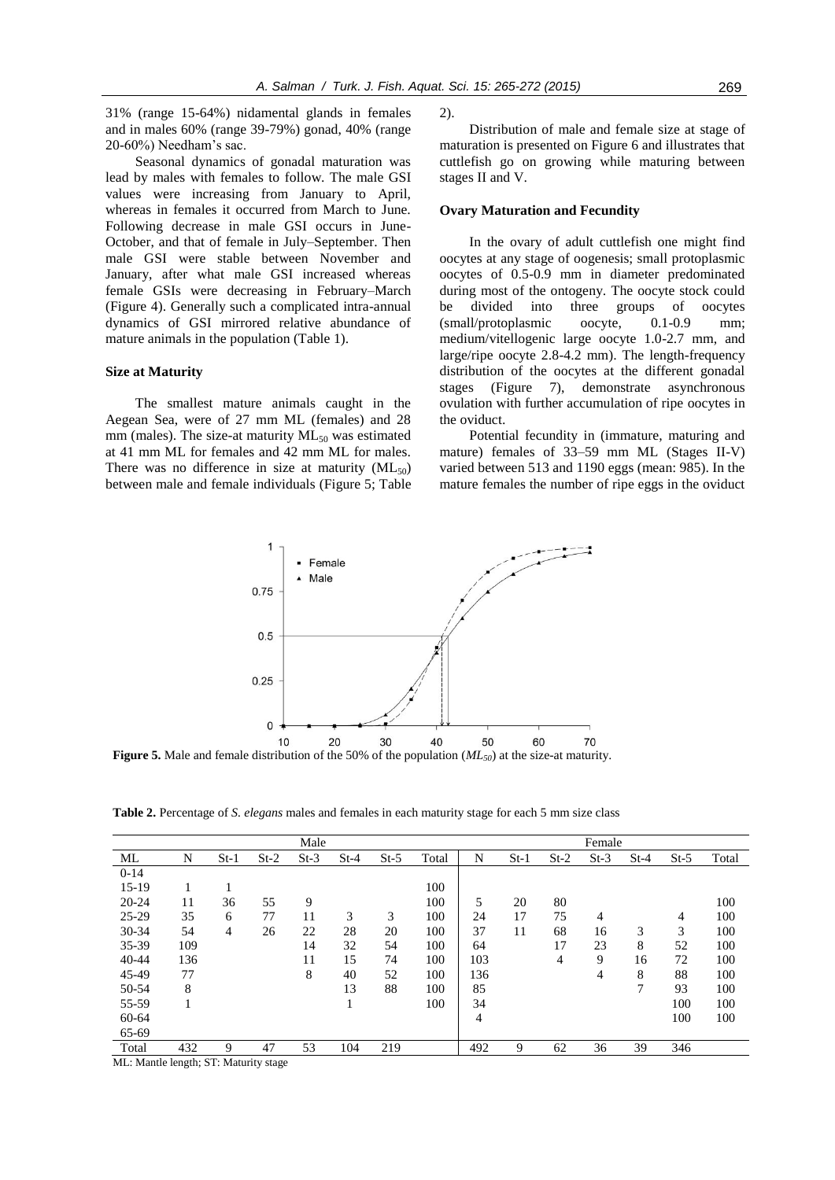31% (range 15-64%) nidamental glands in females and in males 60% (range 39-79%) gonad, 40% (range 20-60%) Needham's sac.

Seasonal dynamics of gonadal maturation was lead by males with females to follow. The male GSI values were increasing from January to April, whereas in females it occurred from March to June. Following decrease in male GSI occurs in June-October, and that of female in July–September. Then male GSI were stable between November and January, after what male GSI increased whereas female GSIs were decreasing in February–March (Figure 4). Generally such a complicated intra-annual dynamics of GSI mirrored relative abundance of mature animals in the population (Table 1).

#### **Size at Maturity**

The smallest mature animals caught in the Aegean Sea, were of 27 mm ML (females) and 28 mm (males). The size-at maturity  $ML_{50}$  was estimated at 41 mm ML for females and 42 mm ML for males. There was no difference in size at maturity  $(ML_{50})$ between male and female individuals (Figure 5; Table 2).

Distribution of male and female size at stage of maturation is presented on Figure 6 and illustrates that cuttlefish go on growing while maturing between stages II and V.

#### **Ovary Maturation and Fecundity**

In the ovary of adult cuttlefish one might find oocytes at any stage of oogenesis; small protoplasmic oocytes of 0.5-0.9 mm in diameter predominated during most of the ontogeny. The oocyte stock could be divided into three groups of oocytes (small/protoplasmic oocyte, 0.1-0.9 mm; medium/vitellogenic large oocyte 1.0-2.7 mm, and large/ripe oocyte 2.8-4.2 mm). The length-frequency distribution of the oocytes at the different gonadal stages (Figure 7), demonstrate asynchronous ovulation with further accumulation of ripe oocytes in the oviduct.

Potential fecundity in (immature, maturing and mature) females of 33–59 mm ML (Stages II-V) varied between 513 and 1190 eggs (mean: 985). In the mature females the number of ripe eggs in the oviduct



**Figure 5.** Male and female distribution of the 50% of the population (*ML50*) at the size-at maturity.

**Table 2.** Percentage of *S. elegans* males and females in each maturity stage for each 5 mm size class

|           | Male |        |        |        |              |        |       | Female |        |        |        |        |        |       |  |
|-----------|------|--------|--------|--------|--------------|--------|-------|--------|--------|--------|--------|--------|--------|-------|--|
|           |      |        |        |        |              |        |       |        |        |        |        |        |        |       |  |
| ML        | N    | $St-1$ | $St-2$ | $St-3$ | $St-4$       | $St-5$ | Total | N      | $St-1$ | $St-2$ | $St-3$ | $St-4$ | $St-5$ | Total |  |
| $0-14$    |      |        |        |        |              |        |       |        |        |        |        |        |        |       |  |
| $15-19$   | ı.   |        |        |        |              |        | 100   |        |        |        |        |        |        |       |  |
| $20 - 24$ | 11   | 36     | 55     | 9      |              |        | 100   | 5      | 20     | 80     |        |        |        | 100   |  |
| 25-29     | 35   | 6      | 77     | 11     | 3            | 3      | 100   | 24     | 17     | 75     | 4      |        | 4      | 100   |  |
| 30-34     | 54   | 4      | 26     | 22     | 28           | 20     | 100   | 37     | 11     | 68     | 16     | 3      | 3      | 100   |  |
| 35-39     | 109  |        |        | 14     | 32           | 54     | 100   | 64     |        | 17     | 23     | 8      | 52     | 100   |  |
| $40 - 44$ | 136  |        |        | 11     | 15           | 74     | 100   | 103    |        | 4      | 9      | 16     | 72     | 100   |  |
| 45-49     | 77   |        |        | 8      | 40           | 52     | 100   | 136    |        |        | 4      | 8      | 88     | 100   |  |
| 50-54     | 8    |        |        |        | 13           | 88     | 100   | 85     |        |        |        | 7      | 93     | 100   |  |
| 55-59     | 1    |        |        |        | $\mathbf{I}$ |        | 100   | 34     |        |        |        |        | 100    | 100   |  |
| 60-64     |      |        |        |        |              |        |       | 4      |        |        |        |        | 100    | 100   |  |
| 65-69     |      |        |        |        |              |        |       |        |        |        |        |        |        |       |  |
| Total     | 432  | 9      | 47     | 53     | 104          | 219    |       | 492    | 9      | 62     | 36     | 39     | 346    |       |  |

ML: Mantle length; ST: Maturity stage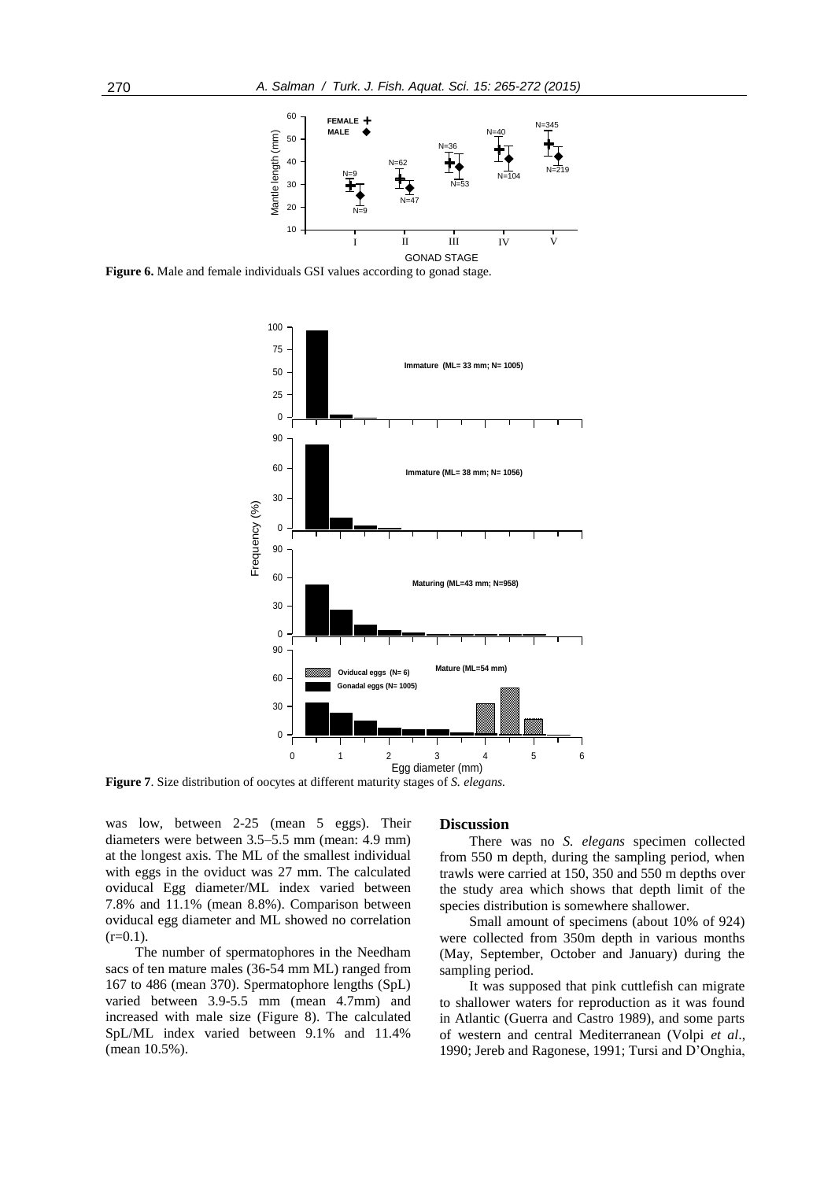

**Figure 6.** Male and female individuals GSI values according to gonad stage.



**Figure 7**. Size distribution of oocytes at different maturity stages of *S. elegans.*

was low, between 2-25 (mean 5 eggs). Their diameters were between 3.5–5.5 mm (mean: 4.9 mm) at the longest axis. The ML of the smallest individual with eggs in the oviduct was 27 mm. The calculated oviducal Egg diameter/ML index varied between 7.8% and 11.1% (mean 8.8%). Comparison between oviducal egg diameter and ML showed no correlation  $(r=0.1)$ .

The number of spermatophores in the Needham sacs of ten mature males (36-54 mm ML) ranged from 167 to 486 (mean 370). Spermatophore lengths (SpL) varied between 3.9-5.5 mm (mean 4.7mm) and increased with male size (Figure 8). The calculated SpL/ML index varied between 9.1% and 11.4% (mean 10.5%).

#### **Discussion**

There was no *S. elegans* specimen collected from 550 m depth, during the sampling period, when trawls were carried at 150, 350 and 550 m depths over the study area which shows that depth limit of the species distribution is somewhere shallower.

Small amount of specimens (about 10% of 924) were collected from 350m depth in various months (May, September, October and January) during the sampling period.

It was supposed that pink cuttlefish can migrate to shallower waters for reproduction as it was found in Atlantic (Guerra and Castro 1989), and some parts of western and central Mediterranean (Volpi *et al*., 1990; Jereb and Ragonese, 1991; Tursi and D'Onghia,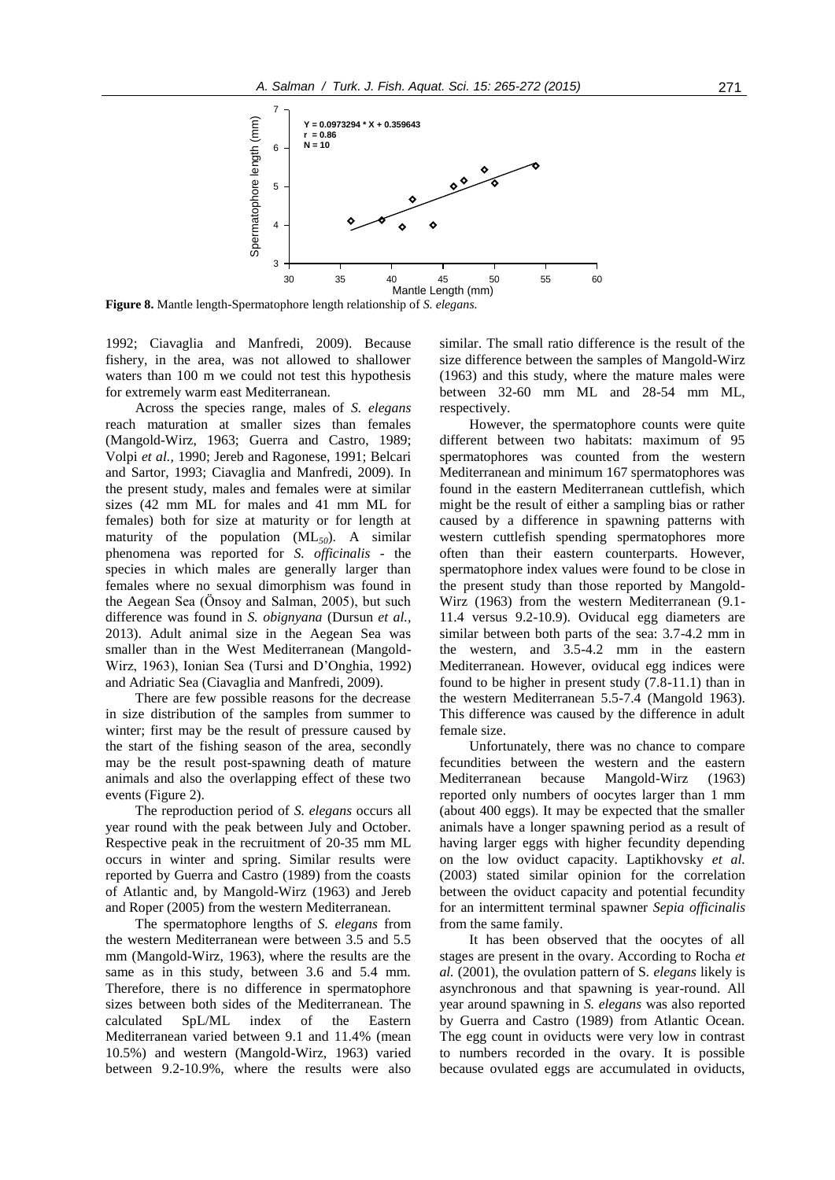

**Figure 8.** Mantle length-Spermatophore length relationship of *S. elegans.*

1992; Ciavaglia and Manfredi, 2009). Because fishery, in the area, was not allowed to shallower waters than 100 m we could not test this hypothesis for extremely warm east Mediterranean.

Across the species range, males of *S. elegans*  reach maturation at smaller sizes than females (Mangold-Wirz, 1963; Guerra and Castro, 1989; Volpi *et al.,* 1990; Jereb and Ragonese, 1991; Belcari and Sartor, 1993; Ciavaglia and Manfredi, 2009). In the present study, males and females were at similar sizes (42 mm ML for males and 41 mm ML for females) both for size at maturity or for length at maturity of the population (ML*50*). A similar phenomena was reported for *S. officinalis* - the species in which males are generally larger than females where no sexual dimorphism was found in the Aegean Sea (Önsoy and Salman, 2005), but such difference was found in *S. obignyana* (Dursun *et al.,* 2013). Adult animal size in the Aegean Sea was smaller than in the West Mediterranean (Mangold-Wirz, 1963), Ionian Sea (Tursi and D'Onghia, 1992) and Adriatic Sea (Ciavaglia and Manfredi, 2009).

There are few possible reasons for the decrease in size distribution of the samples from summer to winter; first may be the result of pressure caused by the start of the fishing season of the area, secondly may be the result post-spawning death of mature animals and also the overlapping effect of these two events (Figure 2).

The reproduction period of *S. elegans* occurs all year round with the peak between July and October. Respective peak in the recruitment of 20-35 mm ML occurs in winter and spring. Similar results were reported by Guerra and Castro (1989) from the coasts of Atlantic and, by Mangold-Wirz (1963) and Jereb and Roper (2005) from the western Mediterranean.

The spermatophore lengths of *S. elegans* from the western Mediterranean were between 3.5 and 5.5 mm (Mangold-Wirz, 1963), where the results are the same as in this study, between 3.6 and 5.4 mm. Therefore, there is no difference in spermatophore sizes between both sides of the Mediterranean. The calculated SpL/ML index of the Eastern Mediterranean varied between 9.1 and 11.4% (mean 10.5%) and western (Mangold-Wirz, 1963) varied between 9.2-10.9%, where the results were also

similar. The small ratio difference is the result of the size difference between the samples of Mangold-Wirz (1963) and this study, where the mature males were between 32-60 mm ML and 28-54 mm ML, respectively.

However, the spermatophore counts were quite different between two habitats: maximum of 95 spermatophores was counted from the western Mediterranean and minimum 167 spermatophores was found in the eastern Mediterranean cuttlefish, which might be the result of either a sampling bias or rather caused by a difference in spawning patterns with western cuttlefish spending spermatophores more often than their eastern counterparts. However, spermatophore index values were found to be close in the present study than those reported by Mangold-Wirz (1963) from the western Mediterranean (9.1- 11.4 versus 9.2-10.9). Oviducal egg diameters are similar between both parts of the sea: 3.7-4.2 mm in the western, and 3.5-4.2 mm in the eastern Mediterranean. However, oviducal egg indices were found to be higher in present study (7.8-11.1) than in the western Mediterranean 5.5-7.4 (Mangold 1963). This difference was caused by the difference in adult female size.

Unfortunately, there was no chance to compare fecundities between the western and the eastern Mediterranean because Mangold-Wirz (1963) reported only numbers of oocytes larger than 1 mm (about 400 eggs). It may be expected that the smaller animals have a longer spawning period as a result of having larger eggs with higher fecundity depending on the low oviduct capacity. Laptikhovsky *et al.* (2003) stated similar opinion for the correlation between the oviduct capacity and potential fecundity for an intermittent terminal spawner *Sepia officinalis*  from the same family.

It has been observed that the oocytes of all stages are present in the ovary. According to Rocha *et al.* (2001), the ovulation pattern of S*. elegans* likely is asynchronous and that spawning is year-round. All year around spawning in *S. elegans* was also reported by Guerra and Castro (1989) from Atlantic Ocean. The egg count in oviducts were very low in contrast to numbers recorded in the ovary. It is possible because ovulated eggs are accumulated in oviducts,